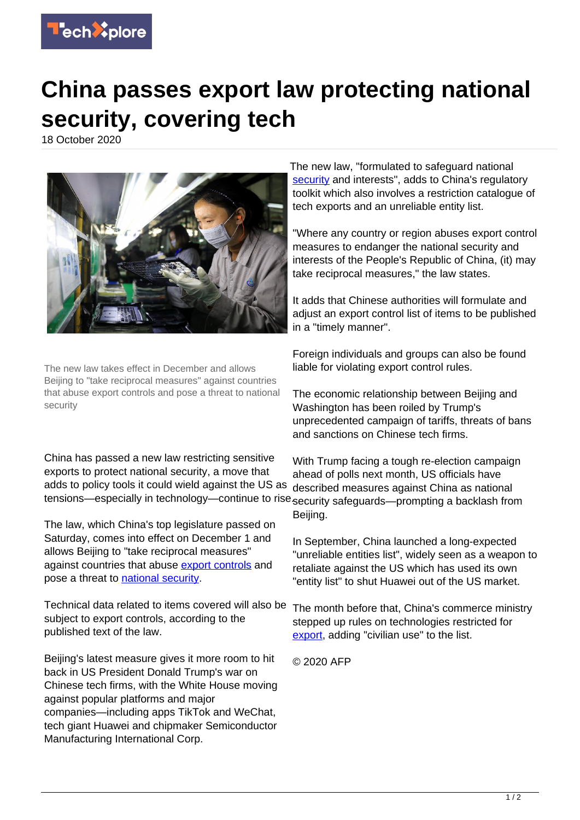

## **China passes export law protecting national security, covering tech**

18 October 2020



The new law takes effect in December and allows Beijing to "take reciprocal measures" against countries that abuse export controls and pose a threat to national security

China has passed a new law restricting sensitive exports to protect national security, a move that adds to policy tools it could wield against the US as

The law, which China's top legislature passed on Saturday, comes into effect on December 1 and allows Beijing to "take reciprocal measures" against countries that abuse [export controls](https://techxplore.com/tags/export+controls/) and pose a threat to [national security](https://techxplore.com/tags/national+security/).

Technical data related to items covered will also be subject to export controls, according to the published text of the law.

Beijing's latest measure gives it more room to hit back in US President Donald Trump's war on Chinese tech firms, with the White House moving against popular platforms and major companies—including apps TikTok and WeChat, tech giant Huawei and chipmaker Semiconductor Manufacturing International Corp.

The new law, "formulated to safeguard national [security](https://techxplore.com/tags/security/) and interests", adds to China's regulatory toolkit which also involves a restriction catalogue of tech exports and an unreliable entity list.

"Where any country or region abuses export control measures to endanger the national security and interests of the People's Republic of China, (it) may take reciprocal measures," the law states.

It adds that Chinese authorities will formulate and adjust an export control list of items to be published in a "timely manner".

Foreign individuals and groups can also be found liable for violating export control rules.

The economic relationship between Beijing and Washington has been roiled by Trump's unprecedented campaign of tariffs, threats of bans and sanctions on Chinese tech firms.

tensions—especially in technology—continue to rise<sub>Security</sub> safeguards—prompting a backlash from With Trump facing a tough re-election campaign ahead of polls next month, US officials have described measures against China as national Beijing.

> In September, China launched a long-expected "unreliable entities list", widely seen as a weapon to retaliate against the US which has used its own "entity list" to shut Huawei out of the US market.

The month before that, China's commerce ministry stepped up rules on technologies restricted for [export](https://techxplore.com/tags/export/), adding "civilian use" to the list.

© 2020 AFP